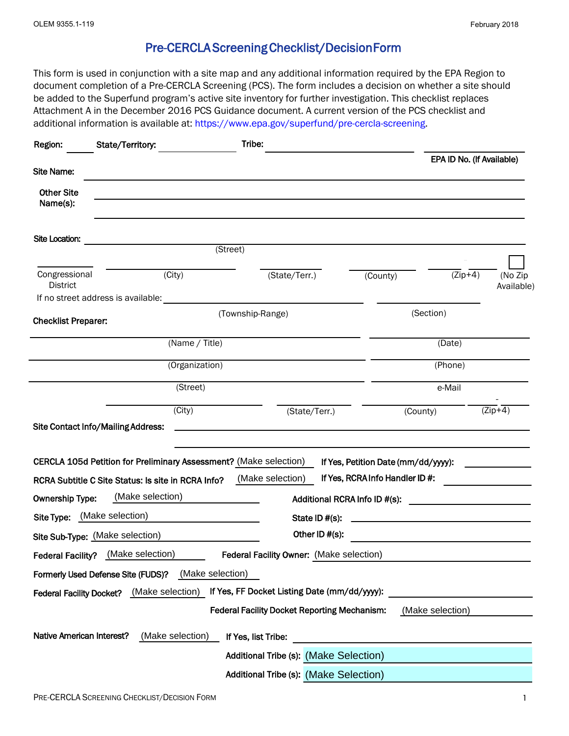## Pre-CERCLA Screening Checklist/DecisionForm

 document completion of a Pre-CERCLA Screening (PCS). The form includes a decision on whether a site should be added to the Superfund program's active site inventory for further investigation. This checklist replaces Attachment A in the December 2016 PCS Guidance document. A current version of the PCS checklist and additional information is available at: https://www.epa.gov/superfund/pre-cercla-screening. This form is used in conjunction with a site map and any additional information required by the EPA Region to

| Region:                                                                                                        | State/Territory:                                                  | Tribe:           |                                                                            |  |                                     |                           |                       |  |
|----------------------------------------------------------------------------------------------------------------|-------------------------------------------------------------------|------------------|----------------------------------------------------------------------------|--|-------------------------------------|---------------------------|-----------------------|--|
| Site Name:                                                                                                     |                                                                   |                  |                                                                            |  |                                     | EPA ID No. (If Available) |                       |  |
|                                                                                                                |                                                                   |                  |                                                                            |  |                                     |                           |                       |  |
| <b>Other Site</b><br>Name(s):                                                                                  |                                                                   |                  |                                                                            |  |                                     |                           |                       |  |
| Site Location:                                                                                                 |                                                                   | (Street)         |                                                                            |  |                                     |                           |                       |  |
|                                                                                                                |                                                                   |                  |                                                                            |  |                                     |                           |                       |  |
| Congressional<br><b>District</b>                                                                               | (City)                                                            |                  | (State/Terr.)                                                              |  | (County)                            | $(Zip+4)$                 | (No Zip<br>Available) |  |
|                                                                                                                | If no street address is available:                                |                  |                                                                            |  |                                     |                           |                       |  |
| <b>Checklist Preparer:</b>                                                                                     |                                                                   |                  | (Township-Range)                                                           |  |                                     | (Section)                 |                       |  |
| (Name / Title)                                                                                                 |                                                                   |                  |                                                                            |  |                                     | (Date)                    |                       |  |
| (Organization)                                                                                                 |                                                                   |                  |                                                                            |  |                                     | (Phone)                   |                       |  |
|                                                                                                                |                                                                   | (Street)         |                                                                            |  |                                     | e-Mail                    |                       |  |
|                                                                                                                | $\overline{\text{(City)}}$                                        |                  | (State/Terr.)                                                              |  |                                     | (County)                  | $(Zip+4)$             |  |
|                                                                                                                | Site Contact Info/Mailing Address:                                |                  | the control of the control of the control of the control of the control of |  |                                     |                           |                       |  |
|                                                                                                                | CERCLA 105d Petition for Preliminary Assessment? (Make selection) |                  |                                                                            |  | If Yes, Petition Date (mm/dd/yyyy): |                           |                       |  |
|                                                                                                                | RCRA Subtitle C Site Status: Is site in RCRA Info?                |                  | (Make selection)                                                           |  | If Yes, RCRA Info Handler ID #:     |                           |                       |  |
| <b>Ownership Type:</b>                                                                                         | (Make selection)                                                  |                  |                                                                            |  |                                     |                           |                       |  |
| Additional RCRA Info ID #(s):<br>Site Type: (Make selection)<br>State ID #(s):                                 |                                                                   |                  |                                                                            |  |                                     |                           |                       |  |
| <u> 1989 - Johann Barbara, martxa a shekara 1989 - An</u><br>Other ID #(s):<br>Site Sub-Type: (Make selection) |                                                                   |                  |                                                                            |  |                                     |                           |                       |  |
|                                                                                                                | Federal Facility? (Make selection)                                |                  | Federal Facility Owner: (Make selection)                                   |  |                                     |                           |                       |  |
|                                                                                                                | Formerly Used Defense Site (FUDS)?                                | (Make selection) |                                                                            |  |                                     |                           |                       |  |
|                                                                                                                | Federal Facility Docket? (Make selection)                         |                  | If Yes, FF Docket Listing Date (mm/dd/yyyy):                               |  |                                     |                           |                       |  |
|                                                                                                                |                                                                   |                  | <b>Federal Facility Docket Reporting Mechanism:</b>                        |  |                                     | (Make selection)          |                       |  |
| Native American Interest?                                                                                      | (Make selection)                                                  |                  |                                                                            |  |                                     |                           |                       |  |
|                                                                                                                |                                                                   |                  | If Yes, list Tribe:<br>Additional Tribe (s): (Make Selection)              |  |                                     |                           |                       |  |
|                                                                                                                |                                                                   |                  | Additional Tribe (s): (Make Selection)                                     |  |                                     |                           |                       |  |
|                                                                                                                |                                                                   |                  |                                                                            |  |                                     |                           |                       |  |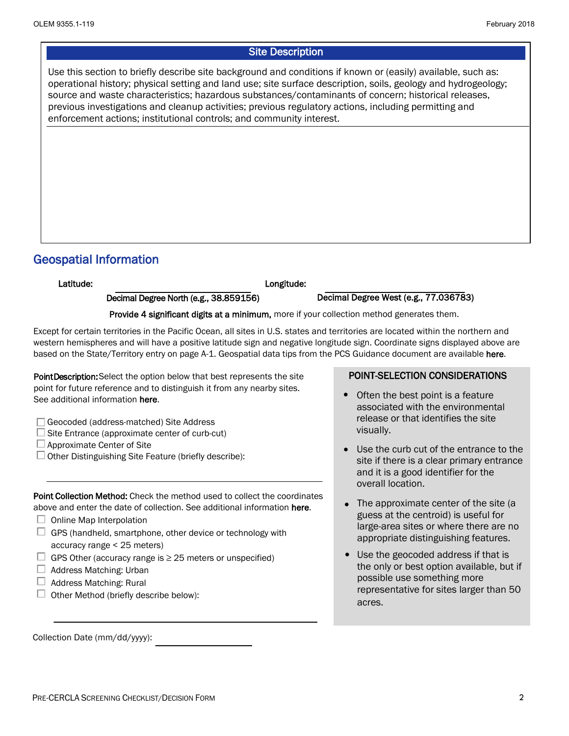## **Site Description**

 Use this section to briefly describe site background and conditions if known or (easily) available, such as: operational history; physical setting and land use; site surface description, soils, geology and hydrogeology; source and waste characteristics; hazardous substances/contaminants of concern; historical releases, previous investigations and cleanup activities; previous regulatory actions, including permitting and enforcement actions; institutional controls; and community interest.

## Geospatial Information

Longitude:

Latitude:<br>
Decimal Degree North (e.g., 38.859156)

Decimal Degree West (e.g., 77.036783)

Provide 4 significant digits at a minimum, more if your collection method generates them.

Except for certain territories in the Pacific Ocean, all sites in U.S. states and territories are located within the northern and western hemispheres and will have a positive latitude sign and negative longitude sign. Coordinate signs displayed above are based on the State/Territory entry on page A-1. Geospatial data tips from the PCS Guidance document are available here.

 point for future reference and to distinguish it from any nearby sites. PointDescription: Select the option below that best represents the site See additional information here.

- Geocoded (address-matched) Site Address
- Site Entrance (approximate center of curb-cut)
- $\Box$  Approximate Center of Site
- $\Box$  Other Distinguishing Site Feature (briefly describe):

Point Collection Method: Check the method used to collect the coordinates above and enter the date of collection. See additional information here.

- Online Map Interpolation
- < accuracy range 25 meters)  $\Box$  GPS (handheld, smartphone, other device or technology with
- $\Box$  GPS Other (accuracy range is  $\geq$  25 meters or unspecified)
- $\Box$  Address Matching: Urban
- $\Box$  Address Matching: Rural
- $\Box$  Other Method (briefly describe below):

Collection Date (mm/dd/yyyy):

## POINT-SELECTION CONSIDERATIONS

- Often the best point is a feature associated with the environmental release or that identifies the site visually.
- Use the curb cut of the entrance to the site if there is a clear primary entrance and it is a good identifier for the overall location.
- The approximate center of the site (a guess at the centroid) is useful for large-area sites or where there are no appropriate distinguishing features.
- Use the geocoded address if that is •the only or best option available, but if possible use something more representative for sites larger than 50 acres.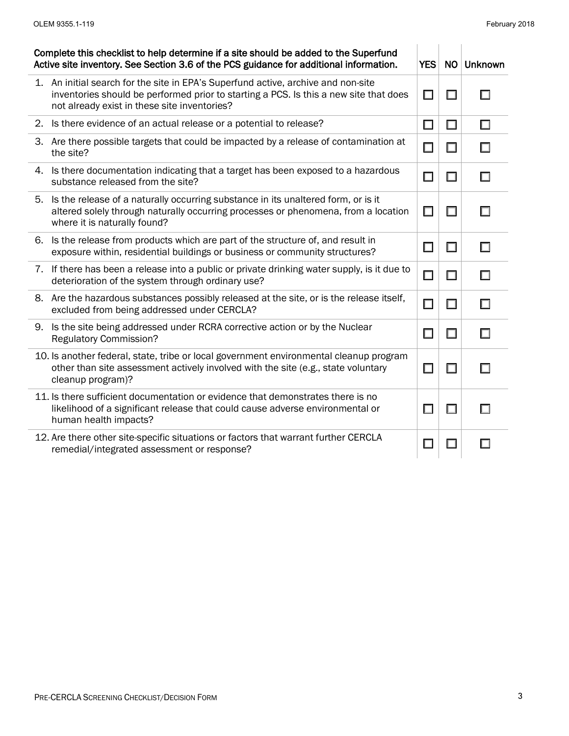| Complete this checklist to help determine if a site should be added to the Superfund<br>Active site inventory. See Section 3.6 of the PCS guidance for additional information. |                                                                                                                                                                                                                            |        | NO     | <b>Unknown</b> |
|--------------------------------------------------------------------------------------------------------------------------------------------------------------------------------|----------------------------------------------------------------------------------------------------------------------------------------------------------------------------------------------------------------------------|--------|--------|----------------|
|                                                                                                                                                                                | 1. An initial search for the site in EPA's Superfund active, archive and non-site<br>inventories should be performed prior to starting a PCS. Is this a new site that does<br>not already exist in these site inventories? | □      | U      |                |
|                                                                                                                                                                                | 2. Is there evidence of an actual release or a potential to release?                                                                                                                                                       | $\Box$ | $\Box$ | □              |
|                                                                                                                                                                                | 3. Are there possible targets that could be impacted by a release of contamination at<br>the site?                                                                                                                         | □      | $\Box$ |                |
| 4.                                                                                                                                                                             | Is there documentation indicating that a target has been exposed to a hazardous<br>substance released from the site?                                                                                                       | $\Box$ | $\Box$ |                |
| 5.                                                                                                                                                                             | Is the release of a naturally occurring substance in its unaltered form, or is it<br>altered solely through naturally occurring processes or phenomena, from a location<br>where it is naturally found?                    | $\Box$ | U      |                |
| 6.                                                                                                                                                                             | Is the release from products which are part of the structure of, and result in<br>exposure within, residential buildings or business or community structures?                                                              | □      | $\Box$ |                |
|                                                                                                                                                                                | 7. If there has been a release into a public or private drinking water supply, is it due to<br>deterioration of the system through ordinary use?                                                                           | $\Box$ | $\Box$ | П              |
|                                                                                                                                                                                | 8. Are the hazardous substances possibly released at the site, or is the release itself,<br>excluded from being addressed under CERCLA?                                                                                    | $\Box$ | $\Box$ | П              |
| 9.                                                                                                                                                                             | Is the site being addressed under RCRA corrective action or by the Nuclear<br><b>Regulatory Commission?</b>                                                                                                                | □      | $\Box$ | П              |
|                                                                                                                                                                                | 10. Is another federal, state, tribe or local government environmental cleanup program<br>other than site assessment actively involved with the site (e.g., state voluntary<br>cleanup program)?                           | □      | $\Box$ |                |
|                                                                                                                                                                                | 11. Is there sufficient documentation or evidence that demonstrates there is no<br>likelihood of a significant release that could cause adverse environmental or<br>human health impacts?                                  | $\Box$ | $\Box$ |                |
|                                                                                                                                                                                | 12. Are there other site-specific situations or factors that warrant further CERCLA<br>remedial/integrated assessment or response?                                                                                         | $\Box$ |        |                |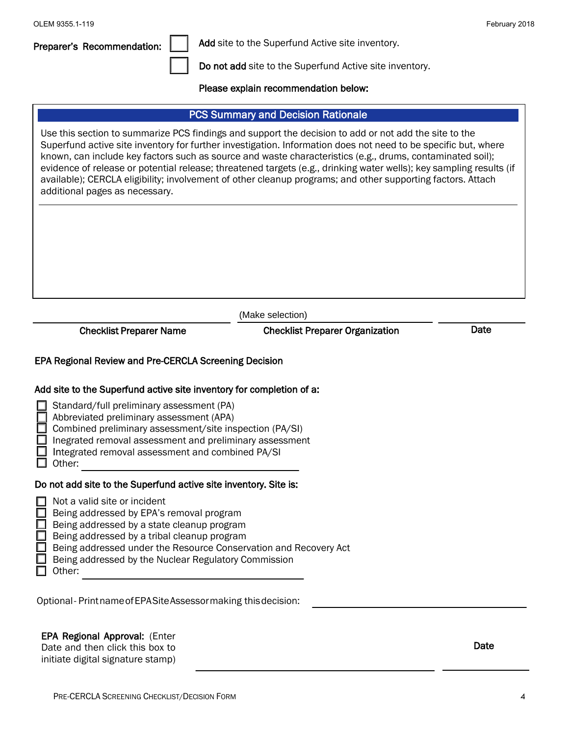| OLEM 9355.1-119                                                                                                                                                                                                                                                                                                                                                                                                                                                                                                                                                                                                                                           |                                                                  | February 2018 |  |  |  |  |
|-----------------------------------------------------------------------------------------------------------------------------------------------------------------------------------------------------------------------------------------------------------------------------------------------------------------------------------------------------------------------------------------------------------------------------------------------------------------------------------------------------------------------------------------------------------------------------------------------------------------------------------------------------------|------------------------------------------------------------------|---------------|--|--|--|--|
| Preparer's Recommendation:                                                                                                                                                                                                                                                                                                                                                                                                                                                                                                                                                                                                                                | Add site to the Superfund Active site inventory.                 |               |  |  |  |  |
|                                                                                                                                                                                                                                                                                                                                                                                                                                                                                                                                                                                                                                                           | Do not add site to the Superfund Active site inventory.          |               |  |  |  |  |
|                                                                                                                                                                                                                                                                                                                                                                                                                                                                                                                                                                                                                                                           | Please explain recommendation below:                             |               |  |  |  |  |
|                                                                                                                                                                                                                                                                                                                                                                                                                                                                                                                                                                                                                                                           |                                                                  |               |  |  |  |  |
| <b>PCS Summary and Decision Rationale</b><br>Use this section to summarize PCS findings and support the decision to add or not add the site to the<br>Superfund active site inventory for further investigation. Information does not need to be specific but, where<br>known, can include key factors such as source and waste characteristics (e.g., drums, contaminated soil);<br>evidence of release or potential release; threatened targets (e.g., drinking water wells); key sampling results (if<br>available); CERCLA eligibility; involvement of other cleanup programs; and other supporting factors. Attach<br>additional pages as necessary. |                                                                  |               |  |  |  |  |
|                                                                                                                                                                                                                                                                                                                                                                                                                                                                                                                                                                                                                                                           |                                                                  |               |  |  |  |  |
|                                                                                                                                                                                                                                                                                                                                                                                                                                                                                                                                                                                                                                                           | (Make selection)                                                 | Date          |  |  |  |  |
| <b>Checklist Preparer Organization</b><br><b>Checklist Preparer Name</b><br>EPA Regional Review and Pre-CERCLA Screening Decision<br>Add site to the Superfund active site inventory for completion of a:<br>Standard/full preliminary assessment (PA)<br>Abbreviated preliminary assessment (APA)<br>Combined preliminary assessment/site inspection (PA/SI)<br>Inegrated removal assessment and preliminary assessment<br>Integrated removal assessment and combined PA/SI<br>Other:                                                                                                                                                                    |                                                                  |               |  |  |  |  |
| Do not add site to the Superfund active site inventory. Site is:<br>Not a valid site or incident<br>Being addressed by EPA's removal program<br>Being addressed by a state cleanup program<br>Being addressed by a tribal cleanup program<br>Being addressed by the Nuclear Regulatory Commission<br>Other:                                                                                                                                                                                                                                                                                                                                               | Being addressed under the Resource Conservation and Recovery Act |               |  |  |  |  |
| Optional-Printname of EPASite Assessor making this decision:                                                                                                                                                                                                                                                                                                                                                                                                                                                                                                                                                                                              |                                                                  |               |  |  |  |  |
| <b>EPA Regional Approval: (Enter</b><br>Date<br>Date and then click this box to<br>initiate digital signature stamp)                                                                                                                                                                                                                                                                                                                                                                                                                                                                                                                                      |                                                                  |               |  |  |  |  |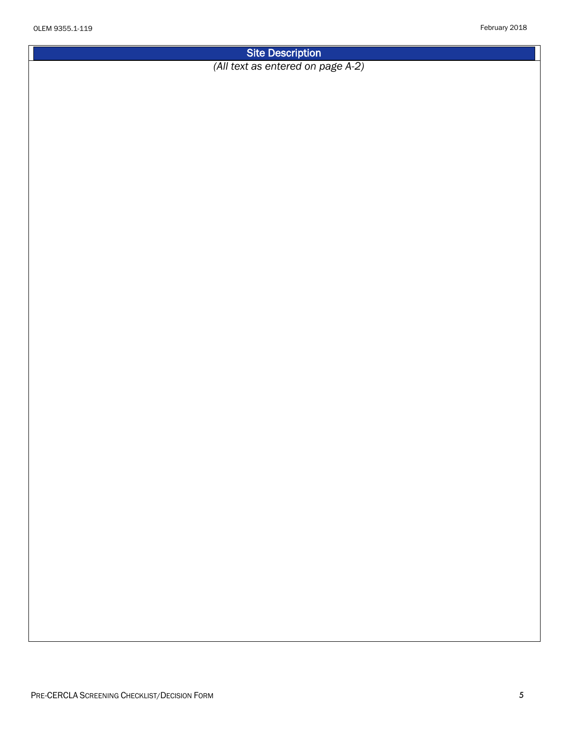Site Description

*(All text as entered on page A-2)*